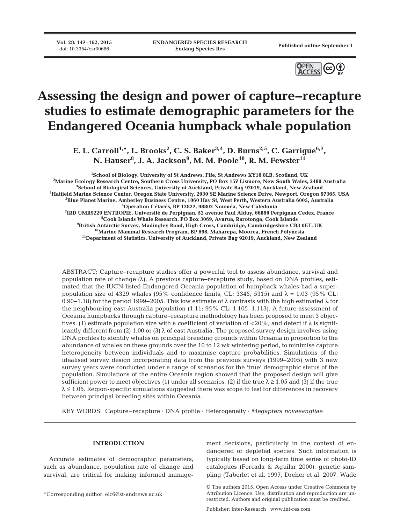**Vol. 28: 147–162, 2015**<br>doi: 10.3354/esr00686

Published online September 1



# **Assessing the design and power of capture−recapture studies to estimate demographic parameters for the Endangered Oceania humpback whale population**

E. L. Carroll<sup>1,\*</sup>, L. Brooks<sup>2</sup>, C. S. Baker<sup>3,4</sup>, D. Burns<sup>2,5</sup>, C. Garrigue<sup>6,7</sup>, N. Hauser<sup>8</sup>, J. A. Jackson<sup>9</sup>, M. M. Poole<sup>10</sup>, R. M. Fewster<sup>11</sup>

 **School of Biology, University of St Andrews, Fife, St Andrews KY16 8LB, Scotland, UK Marine Ecology Research Centre, Southern Cross University, PO Box 157 Lismore, New South Wales, 2480 Australia School of Biological Sciences, University of Auckland, Private Bag 92019, Auckland, New Zealand Hatfield Marine Science Center, Oregon State University, 2030 SE Marine Science Drive, Newport, Oregon 97365, USA Blue Planet Marine, Amberley Business Centre, 1060 Hay St, West Perth, Western Australia 6005, Australia Opération Cétacés, BP 12827, 98802 Nouméa, New Caledonia IRD UMR9220 ENTROPIE, Université de Perpignan, 52 avenue Paul Alduy, 66860 Perpignan Cedex, France Cook Islands Whale Research, PO Box 3069, Avarua, Rarotonga, Cook Islands British Antarctic Survey, Madingley Road, High Cross, Cambridge, Cambridgeshire CB3 0ET, UK 10Marine Mammal Research Program, BP 698, Maharepa, Moorea, French Polynesia 11Department of Statistics, University of Auckland, Private Bag 92019, Auckland, New Zealand**

ABSTRACT: Capture−recapture studies offer a powerful tool to assess abundance, survival and population rate of change (λ). A previous capture−recapture study, based on DNA profiles, estimated that the IUCN-listed Endangered Oceania population of humpback whales had a superpopulation size of 4329 whales (95% confidence limits, CL: 3345, 5315) and  $\lambda = 1.03$  (95% CL: 0.90−1.18) for the period 1999−2005. This low estimate of λ contrasts with the high estimated λ for the neighbouring east Australia population (1.11; 95% CL: 1.105−1.113). A future assessment of Oceania humpbacks through capture−recapture methodology has been proposed to meet 3 objectives: (1) estimate population size with a coefficient of variation of  $\langle 20\% \rangle$ , and detect if  $\lambda$  is significantly different from (2) 1.00 or (3)  $\lambda$  of east Australia. The proposed survey design involves using DNA profiles to identify whales on principal breeding grounds within Oceania in proportion to the abundance of whales on these grounds over the 10 to 12 wk wintering period, to minimise capture heterogeneity between individuals and to maximise capture probabilities. Simulations of the idealised survey design incorporating data from the previous surveys (1999−2005) with 3 new survey years were conducted under a range of scenarios for the 'true' demographic status of the population. Simulations of the entire Oceania region showed that the proposed design will give sufficient power to meet objectives (1) under all scenarios, (2) if the true  $\lambda \ge 1.05$  and (3) if the true  $\lambda \leq 1.05$ . Region-specific simulations suggested there was scope to test for differences in recovery between principal breeding sites within Oceania.

KEY WORDS: Capture–recapture · DNA profile · Heterogeneity · *Megaptera novaeangliae*

# **INTRODUCTION**

Accurate estimates of demographic parameters, such as abundance, population rate of change and survival, are critical for making informed manage-

\*Corresponding author: elc6@st-andrews.ac.uk

ment decisions, particularly in the context of endangered or depleted species. Such information is typically based on long-term time series of photo-ID catalogues (Forcada & Aguilar 2000), genetic sampling (Taberlet et al. 1997, Dreher et al. 2007, Wade

Publisher: Inter-Research · www.int-res.com

<sup>©</sup> The authors 2015. Open Access under Creative Commons by Attribution Licence. Use, distribution and reproduction are unrestricted. Authors and original publication must be credited.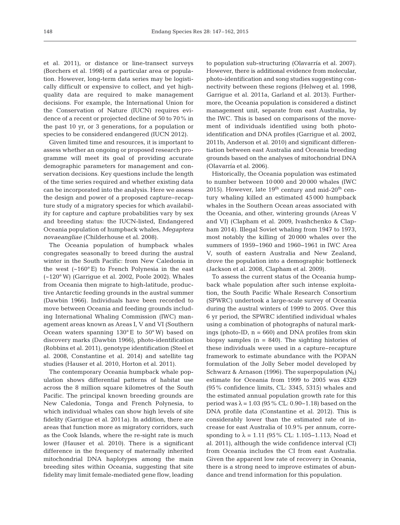et al. 2011), or distance or line-transect surveys (Borchers et al. 1998) of a particular area or population. However, long-term data series may be logistically difficult or expensive to collect, and yet highquality data are required to make management decisions. For example, the International Union for the Conservation of Nature (IUCN) requires evidence of a recent or projected decline of 50 to 70% in the past 10 yr, or 3 generations, for a population or species to be considered endangered (IUCN 2012).

Given limited time and resources, it is important to assess whether an ongoing or proposed research programme will meet its goal of providing accurate demographic parameters for management and conservation decisions. Key questions include the length of the time series required and whether existing data can be incorporated into the analysis. Here we assess the design and power of a proposed capture−recapture study of a migratory species for which availability for capture and capture probabilities vary by sex and breeding status: the IUCN-listed, Endangered Oceania population of humpback whales, *Megaptera novaeangliae* (Childerhouse et al. 2008).

The Oceania population of humpback whales congregates seasonally to breed during the austral winter in the South Pacific: from New Caledonia in the west  $(-160^{\circ}E)$  to French Polynesia in the east (~120° W) (Garrigue et al. 2002, Poole 2002). Whales from Oceania then migrate to high-latitude, productive Antarctic feeding grounds in the austral summer (Dawbin 1966). Individuals have been recorded to move between Oceania and feeding grounds including International Whaling Commission (IWC) management areas known as Areas I, V and VI (Southern Ocean waters spanning  $130^{\circ}$  E to  $50^{\circ}$  W) based on discovery marks (Dawbin 1966), photo-identification (Robbins et al. 2011), genotype identification (Steel et al. 2008, Constantine et al. 2014) and satellite tag studies (Hauser et al. 2010, Horton et al. 2011).

The contemporary Oceania humpback whale population shows differential patterns of habitat use across the 8 million square kilometres of the South Pacific. The principal known breeding grounds are New Caledonia, Tonga and French Polynesia, to which individual whales can show high levels of site fidelity (Garrigue et al. 2011a). In addition, there are areas that function more as migratory corridors, such as the Cook Islands, where the re-sight rate is much lower (Hauser et al. 2010). There is a significant difference in the frequency of maternally inherited mitochondrial DNA haplotypes among the main breeding sites within Oceania, suggesting that site fidelity may limit female-mediated gene flow, leading to population sub-structuring (Olavarría et al. 2007). However, there is additional evidence from molecular, photo-identification and song studies suggesting connectivity between these regions (Helweg et al. 1998, Garrigue et al. 2011a, Garland et al. 2013). Furthermore, the Oceania population is considered a distinct management unit, separate from east Australia, by the IWC. This is based on comparisons of the movement of individuals identified using both photoidentification and DNA profiles (Garrigue et al. 2002, 2011b, Anderson et al. 2010) and significant differentiation between east Australia and Oceania breeding grounds based on the analyses of mitochondrial DNA (Olavarría et al. 2006).

Historically, the Oceania population was estimated to number between 10 000 and 20 000 whales (IWC 2015). However, late  $19<sup>th</sup>$  century and mid-20<sup>th</sup> century whaling killed an estimated 45 000 humpback whales in the Southern Ocean areas associated with the Oceania, and other, wintering grounds (Areas V and VI) (Clapham et al. 2009, Ivashchenko & Clapham 2014). Illegal Soviet whaling from 1947 to 1973, most notably the killing of 20 000 whales over the summers of 1959−1960 and 1960−1961 in IWC Area V, south of eastern Australia and New Zealand, drove the population into a demographic bottleneck (Jackson et al. 2008, Clapham et al. 2009).

To assess the current status of the Oceania humpback whale population after such intense exploitation, the South Pacific Whale Research Consortium (SPWRC) undertook a large-scale survey of Oceania during the austral winters of 1999 to 2005. Over this 6 yr period, the SPWRC identified individual whales using a combination of photographs of natural markings (photo-ID,  $n = 660$ ) and DNA profiles from skin biopsy samples  $(n = 840)$ . The sighting histories of these individuals were used in a capture−recapture framework to estimate abundance with the POPAN formulation of the Jolly Seber model developed by Schwarz & Arnason (1996). The superpopulation  $(N_S)$ estimate for Oceania from 1999 to 2005 was 4329 (95% confidence limits, CL: 3345, 5315) whales and the estimated annual population growth rate for this period was  $\lambda = 1.03$  (95% CL: 0.90–1.18) based on the DNA profile data (Constantine et al. 2012). This is considerably lower than the estimated rate of increase for east Australia of 10.9% per annum, corresponding to  $\lambda = 1.11$  (95% CL: 1.105–1.113; Noad et al. 2011), although the wide confidence interval (CI) from Oceania includes the CI from east Australia. Given the apparent low rate of recovery in Oceania, there is a strong need to improve estimates of abundance and trend information for this population.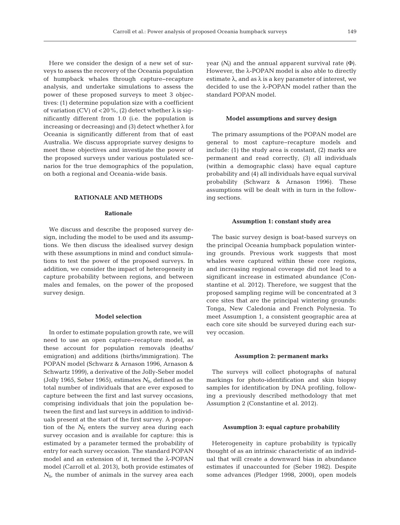Here we consider the design of a new set of surveys to assess the recovery of the Oceania population of humpback whales through capture−recapture analysis, and undertake simulations to assess the power of these proposed surveys to meet 3 objectives: (1) determine population size with a coefficient of variation (CV) of <20%, (2) detect whether  $\lambda$  is significantly different from 1.0 (i.e. the population is increasing or decreasing) and (3) detect whether  $\lambda$  for Oceania is significantly different from that of east Australia. We discuss appropriate survey designs to meet these objectives and investigate the power of the proposed surveys under various postulated scenarios for the true demographics of the population, on both a regional and Oceania-wide basis.

# **RATIONALE AND METHODS**

# **Rationale**

We discuss and describe the proposed survey design, including the model to be used and its assumptions. We then discuss the idealised survey design with these assumptions in mind and conduct simulations to test the power of the proposed surveys. In addition, we consider the impact of heterogeneity in capture probability between regions, and between males and females, on the power of the proposed survey design.

#### **Model selection**

In order to estimate population growth rate, we will need to use an open capture−recapture model, as these account for population removals (deaths/ emigration) and additions (births/immigration). The POPAN model (Schwarz & Arnason 1996, Arnason & Schwartz 1999), a derivative of the Jolly-Seber model (Jolly 1965, Seber 1965), estimates  $N_{\rm S}$ , defined as the total number of individuals that are ever exposed to capture between the first and last survey occasions, comprising individuals that join the population be tween the first and last surveys in addition to individuals present at the start of the first survey. A proportion of the  $N<sub>S</sub>$  enters the survey area during each survey occasion and is available for capture: this is estimated by a parameter termed the probability of entry for each survey occasion. The standard POPAN model and an extension of it, termed the λ-POPAN model (Carroll et al. 2013), both provide estimates of  $N_{\rm S}$ , the number of animals in the survey area each

year  $(N_t)$  and the annual apparent survival rate (Φ). However, the λ-POPAN model is also able to directly estimate  $\lambda$ , and as  $\lambda$  is a key parameter of interest, we decided to use the λ-POPAN model rather than the standard POPAN model.

## **Model assumptions and survey design**

The primary assumptions of the POPAN model are general to most capture−recapture models and include: (1) the study area is constant, (2) marks are permanent and read correctly, (3) all individuals (within a demographic class) have equal capture probability and (4) all individuals have equal survival probability (Schwarz & Arnason 1996). These assumptions will be dealt with in turn in the following sections.

#### **Assumption 1: constant study area**

The basic survey design is boat-based surveys on the principal Oceania humpback population wintering grounds. Previous work suggests that most whales were captured within these core regions, and increasing regional coverage did not lead to a significant increase in estimated abundance (Constantine et al. 2012). Therefore, we suggest that the proposed sampling regime will be concentrated at 3 core sites that are the principal wintering grounds: Tonga, New Caledonia and French Polynesia. To meet Assumption 1, a consistent geographic area at each core site should be surveyed during each survey occasion.

## **Assumption 2: permanent marks**

The surveys will collect photographs of natural markings for photo-identification and skin biopsy samples for identification by DNA profiling, following a previously described methodology that met Assumption 2 (Constantine et al. 2012).

## **Assumption 3: equal capture probability**

Heterogeneity in capture probability is typically thought of as an intrinsic characteristic of an individual that will create a downward bias in abundance estimates if unaccounted for (Seber 1982). Despite some advances (Pledger 1998, 2000), open models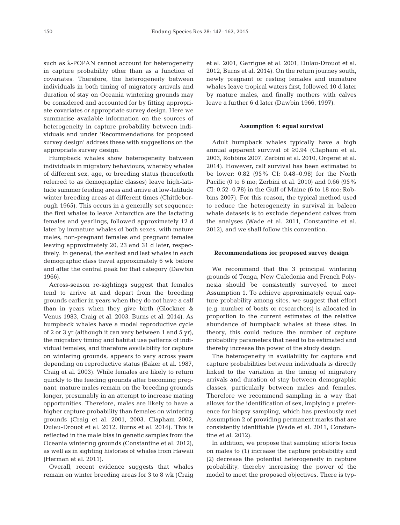such as λ-POPAN cannot account for heterogeneity in capture probability other than as a function of covariates. Therefore, the heterogeneity between individuals in both timing of migratory arrivals and duration of stay on Oceania wintering grounds may be considered and accounted for by fitting appropriate covariates or appropriate survey design. Here we summarise available information on the sources of heterogeneity in capture probability between individuals and under 'Recommendations for proposed survey design' address these with suggestions on the appropriate survey design.

Humpback whales show heterogeneity between individuals in migratory behaviours, whereby whales of different sex, age, or breeding status (henceforth referred to as demographic classes) leave high-latitude summer feeding areas and arrive at low-latitude winter breeding areas at different times (Chittleborough 1965). This occurs in a generally set sequence: the first whales to leave Antarctica are the lactating females and yearlings, followed approximately 12 d later by immature whales of both sexes, with mature males, non-pregnant females and pregnant females leaving approximately 20, 23 and 31 d later, respectively. In general, the earliest and last whales in each demographic class travel approximately 6 wk before and after the central peak for that category (Dawbin 1966).

Across-season re-sightings suggest that females tend to arrive at and depart from the breeding grounds earlier in years when they do not have a calf than in years when they give birth (Glockner & Venus 1983, Craig et al. 2003, Burns et al. 2014). As humpback whales have a modal reproductive cycle of 2 or 3 yr (although it can vary between 1 and 5 yr), the migratory timing and habitat use patterns of individual females, and therefore availability for capture on wintering grounds, appears to vary across years depending on reproductive status (Baker et al. 1987, Craig et al. 2003). While females are likely to return quickly to the feeding grounds after becoming pregnant, mature males remain on the breeding grounds longer, presumably in an attempt to increase mating opportunities. Therefore, males are likely to have a higher capture probability than females on wintering grounds (Craig et al. 2001, 2003, Clapham 2002, Dulau-Drouot et al. 2012, Burns et al. 2014). This is reflected in the male bias in genetic samples from the Oceania wintering grounds (Constantine et al. 2012), as well as in sighting histories of whales from Hawaii (Herman et al. 2011).

Overall, recent evidence suggests that whales remain on winter breeding areas for 3 to 8 wk (Craig

et al. 2001, Garrigue et al. 2001, Dulau-Drouot et al. 2012, Burns et al. 2014). On the return journey south, newly pregnant or resting females and immature whales leave tropical waters first, followed 10 d later by mature males, and finally mothers with calves leave a further 6 d later (Dawbin 1966, 1997).

## **Assumption 4: equal survival**

Adult humpback whales typically have a high annual apparent survival of ≥0.94 (Clapham et al. 2003, Robbins 2007, Zerbini et al. 2010, Orgeret et al. 2014). However, calf survival has been estimated to be lower: 0.82 (95% CI: 0.48−0.98) for the North Pacific (0 to 6 mo; Zerbini et al. 2010) and 0.66 (95% CI: 0.52−0.78) in the Gulf of Maine (6 to 18 mo; Robbins 2007). For this reason, the typical method used to reduce the heterogeneity in survival in baleen whale datasets is to exclude dependent calves from the analyses (Wade et al. 2011, Constantine et al. 2012), and we shall follow this convention.

## **Recommendations for proposed survey design**

We recommend that the 3 principal wintering grounds of Tonga, New Caledonia and French Polynesia should be consistently surveyed to meet Assumption 1. To achieve approximately equal capture probability among sites, we suggest that effort (e.g. number of boats or researchers) is allocated in proportion to the current estimates of the relative abundance of humpback whales at these sites. In theory, this could reduce the number of capture probability parameters that need to be estimated and thereby increase the power of the study design.

The heterogeneity in availability for capture and capture probabilities between individuals is directly linked to the variation in the timing of migratory arrivals and duration of stay between demographic classes, particularly between males and females. Therefore we recommend sampling in a way that allows for the identification of sex, implying a preference for biopsy sampling, which has previously met Assumption 2 of providing permanent marks that are consistently identifiable (Wade et al. 2011, Constantine et al. 2012).

In addition, we propose that sampling efforts focus on males to (1) increase the capture probability and (2) decrease the potential heterogeneity in capture probability, thereby increasing the power of the model to meet the proposed objectives. There is typ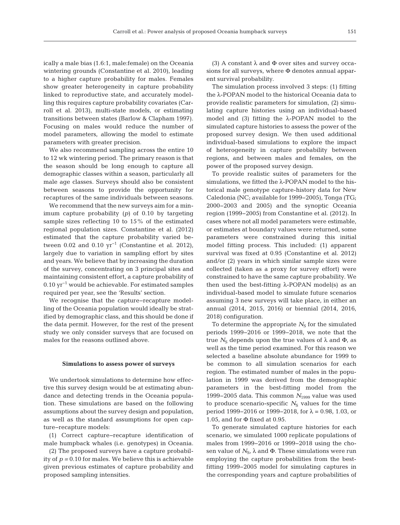ically a male bias (1.6:1, male:female) on the Oceania wintering grounds (Constantine et al. 2010), leading to a higher capture probability for males. Females show greater heterogeneity in capture probability linked to reproductive state, and accurately modelling this requires capture probability covariates (Carroll et al. 2013), multi-state models, or estimating transitions between states (Barlow & Clapham 1997). Focusing on males would reduce the number of model parameters, allowing the model to estimate parameters with greater precision.

We also recommend sampling across the entire 10 to 12 wk wintering period. The primary reason is that the season should be long enough to capture all demographic classes within a season, particularly all male age classes. Surveys should also be consistent between seasons to provide the opportunity for recaptures of the same individuals between seasons.

We recommend that the new surveys aim for a minimum capture probability (*p)* of 0.10 by targeting sample sizes reflecting 10 to 15% of the estimated regional population sizes. Constantine et al. (2012) estimated that the capture probability varied be tween 0.02 and 0.10  $yr^{-1}$  (Constantine et al. 2012), largely due to variation in sampling effort by sites and years. We believe that by increasing the duration of the survey, concentrating on 3 principal sites and maintaining consistent effort, a capture probability of 0.10 yr−1 would be achievable. For estimated samples required per year, see the 'Results' section.

We recognise that the capture−recapture modelling of the Oceania population would ideally be stratified by demographic class, and this should be done if the data permit. However, for the rest of the present study we only consider surveys that are focused on males for the reasons outlined above.

### **Simulations to assess power of surveys**

We undertook simulations to determine how effective this survey design would be at estimating abundance and detecting trends in the Oceania population. These simulations are based on the following assumptions about the survey design and population, as well as the standard assumptions for open capture−recapture models:

(1) Correct capture−recapture identification of male humpback whales (i.e. genotypes) in Oceania.

(2) The proposed surveys have a capture probability of *p =* 0.10 for males. We believe this is achievable given previous estimates of capture probability and proposed sampling intensities.

(3) A constant  $\lambda$  and  $\Phi$  over sites and survey occasions for all surveys, where Φ denotes annual apparent survival probability.

The simulation process involved 3 steps: (1) fitting the λ-POPAN model to the historical Oceania data to provide realistic parameters for simulation, (2) simulating capture histories using an individual-based model and (3) fitting the  $\lambda$ -POPAN model to the simulated capture histories to assess the power of the proposed survey design. We then used additional individual-based simulations to explore the impact of heterogeneity in capture probability between regions, and between males and females, on the power of the proposed survey design.

To provide realistic suites of parameters for the simulations, we fitted the λ-POPAN model to the historical male genotype capture-history data for New Caledonia (NC; available for 1999−2005), Tonga (TG; 2000−2003 and 2005) and the synoptic Oceania region (1999−2005) from Constantine et al. (2012). In cases where not all model parameters were estimable, or estimates at boundary values were returned, some parameters were constrained during this initial model fitting process. This included: (1) apparent survival was fixed at 0.95 (Constantine et al. 2012) and/or (2) years in which similar sample sizes were collected (taken as a proxy for survey effort) were constrained to have the same capture probability. We then used the best-fitting  $λ$ -POPAN model(s) as an individual-based model to simulate future scenarios assuming 3 new surveys will take place, in either an annual (2014, 2015, 2016) or biennial (2014, 2016, 2018) configuration.

To determine the appropriate  $N<sub>S</sub>$  for the simulated periods 1999−2016 or 1999−2018, we note that the true  $N<sub>S</sub>$  depends upon the true values of  $\lambda$  and  $Φ$ , as well as the time period examined. For this reason we selected a baseline absolute abundance for 1999 to be common to all simulation scenarios for each region. The estimated number of males in the population in 1999 was derived from the demographic parameters in the best-fitting model from the 1999−2005 data. This common *N*<sup>1999</sup> value was used to produce scenario-specific  $N<sub>S</sub>$  values for the time period 1999–2016 or 1999–2018, for  $\lambda = 0.98$ , 1.03, or 1.05, and for Φ fixed at 0.95.

To generate simulated capture histories for each scenario, we simulated 1000 replicate populations of males from 1999−2016 or 1999−2018 using the chosen value of  $N_{\rm S}$ ,  $\lambda$  and  $\Phi$ . These simulations were run employing the capture probabilities from the bestfitting 1999−2005 model for simulating captures in the corresponding years and capture probabilities of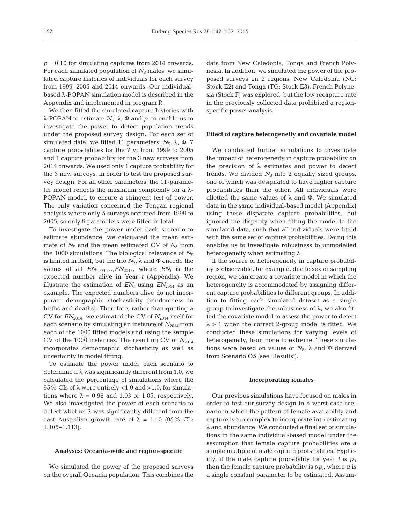*p =* 0.10 for simulating captures from 2014 onwards. For each simulated population of  $N<sub>S</sub>$  males, we simulated capture histories of individuals for each survey from 1999-2005 and 2014 onwards. Our individualbased λ-POPAN simulation model is described in the Appendix and implemented in program R.

We then fitted the simulated capture histories with λ-POPAN to estimate  $N_S$ , λ, Φ and  $p$ , to enable us to investigate the power to detect population trends under the proposed survey design. For each set of simulated data, we fitted 11 parameters:  $N_{\rm S}$ ,  $\lambda$ ,  $\Phi$ , 7 capture probabilities for the 7 yr from 1999 to 2005 and 1 capture probability for the 3 new surveys from 2014 onwards. We used only 1 capture probability for the 3 new surveys, in order to test the proposed survey design. For all other parameters, the 11-parameter model reflects the maximum complexity for a  $\lambda$ -POPAN model, to ensure a stringent test of power. The only variation concerned the Tongan regional analysis where only 5 surveys occurred from 1999 to 2005, so only 9 parameters were fitted in total.

To investigate the power under each scenario to estimate abundance, we calculated the mean estimate of  $N<sub>S</sub>$  and the mean estimated CV of  $N<sub>S</sub>$  from the 1000 simulations. The biological relevance of  $N<sub>S</sub>$ is limited in itself, but the trio  $N_{\rm S}$ ,  $\lambda$  and  $\Phi$  encode the values of all  $EN_{1999},..., EN_{2018}$ , where  $EN_t$  is the expected number alive in Year *t* (Appendix). We illustrate the estimation of  $EN_t$  using  $EN_{2014}$  as an example. The expected numbers alive do not incorporate demographic stochasticity (randomness in births and deaths). Therefore, rather than quoting a CV for  $EN_{2014}$ , we estimated the CV of  $N_{2014}$  itself for each scenario by simulating an instance of  $N_{2014}$  from each of the 1000 fitted models and using the sample CV of the 1000 instances. The resulting CV of  $N_{2014}$ incorporates demographic stochasticity as well as uncertainty in model fitting.

To estimate the power under each scenario to determine if  $\lambda$  was significantly different from 1.0, we calculated the percentage of simulations where the 95% CIs of  $\lambda$  were entirely <1.0 and >1.0, for simulations where  $\lambda = 0.98$  and 1.03 or 1.05, respectively. We also investigated the power of each scenario to detect whether  $\lambda$  was significantly different from the east Australian growth rate of  $\lambda = 1.10$  (95% CL: 1.105−1.113).

#### **Analyses: Oceania-wide and region-specific**

We simulated the power of the proposed surveys on the overall Oceania population. This combines the data from New Caledonia, Tonga and French Polynesia. In addition, we simulated the power of the proposed surveys on 2 regions: New Caledonia (NC: Stock E2) and Tonga (TG: Stock E3). French Polynesia (Stock F) was explored, but the low recapture rate in the previously collected data prohibited a regionspecific power analysis.

#### **Effect of capture heterogeneity and covariate model**

We conducted further simulations to investigate the impact of heterogeneity in capture probability on the precision of  $λ$  estimates and power to detect trends. We divided  $N<sub>S</sub>$  into 2 equally sized groups, one of which was designated to have higher capture probabilities than the other. All individuals were allotted the same values of  $\lambda$  and  $\Phi$ . We simulated data in the same individual-based model (Appendix) using these disparate capture probabilities, but ignored the disparity when fitting the model to the simulated data, such that all individuals were fitted with the same set of capture probabilities. Doing this enables us to investigate robustness to unmodelled heterogeneity when estimating  $\lambda$ .

If the source of heterogeneity in capture probability is observable, for example, due to sex or sampling region, we can create a covariate model in which the heterogeneity is accommodated by assigning different capture probabilities to different groups. In addition to fitting each simulated dataset as a single group to investigate the robustness of λ, we also fitted the covariate model to assess the power to detect  $\lambda > 1$  when the correct 2-group model is fitted. We conducted these simulations for varying levels of heterogeneity, from none to extreme. These simulations were based on values of  $N_{\rm S}$ ,  $\lambda$  and  $\Phi$  derived from Scenario O5 (see 'Results').

## **Incorporating females**

Our previous simulations have focused on males in order to test our survey design in a worst-case scenario in which the pattern of female availability and capture is too complex to incorporate into estimating λ and abundance. We conducted a final set of simulations in the same individual-based model under the assumption that female capture probabilities are a simple multiple of male capture probabilities. Explicitly, if the male capture probability for year  $t$  is  $p_t$ , then the female capture probability is  $\alpha p_t$ , where  $\alpha$  is a single constant parameter to be estimated. Assum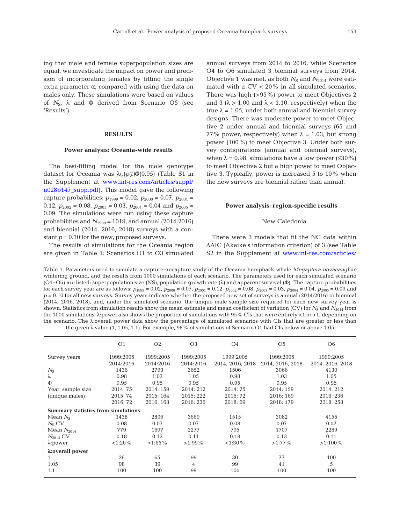ing that male and female superpopulation sizes are equal, we investigate the impact on power and precision of incorporating females by fitting the single extra parameter  $\alpha$ , compared with using the data on males only. These simulations were based on values of  $N_{\rm S}$ ,  $\lambda$  and  $\Phi$  derived from Scenario O5 (see 'Results').

## **RESULTS**

## **Power analysis: Oceania-wide results**

The best-fitting model for the male genotype dataset for Oceania was λ(.)*p(t)*Φ(0.95) (Table S1 in the Supplement at [www.int-res.com/articles/suppl/](http://www.int-res.com/articles/suppl/n028p147_supp.pdf) [n028p147\\_supp.pdf\)](http://www.int-res.com/articles/suppl/n028p147_supp.pdf). This model gave the following capture probabilities:  $p_{1999} = 0.02$ ,  $p_{2000} = 0.07$ ,  $p_{2001} =$ 0.12,  $p_{2002} = 0.08$ ,  $p_{2003} = 0.03$ ,  $p_{2004} = 0.04$  and  $p_{2005} =$ 0.09. The simulations were run using these capture probabilities and *N*<sup>1999</sup> = 1019, and annual (2014:2016) and biennial (2014, 2016, 2018) surveys with a constant *p =* 0.10 for the new, proposed surveys.

The results of simulations for the Oceania region are given in Table 1: Scenarios O1 to O3 simulated annual surveys from 2014 to 2016, while Scenarios O4 to O6 simulated 3 biennial surveys from 2014. Objective 1 was met, as both  $N<sub>S</sub>$  and  $N<sub>2014</sub>$  were estimated with a CV < 20% in all simulated scenarios. There was high (>95%) power to meet Objectives 2 and 3 ( $\lambda > 1.00$  and  $\lambda < 1.10$ , respectively) when the true  $\lambda = 1.05$ , under both annual and biennial survey designs. There was moderate power to meet Objective 2 under annual and biennial surveys (65 and 77% power, respectively) when  $\lambda = 1.03$ , but strong power (100%) to meet Objective 3. Under both survey configurations (annual and biennial surveys), when  $\lambda = 0.98$ , simulations have a low power ( $\leq 30\%$ ) to meet Objective 2 but a high power to meet Objective 3. Typically, power is increased 5 to 10% when the new surveys are biennial rather than annual.

#### **Power analysis: region-specific results**

## New Caledonia

There were 3 models that fit the NC data within ΔAIC (Akaike's information criterion) of 3 (see Table S2 in the Supplement at www.int-res.com/articles/

Table 1. Parameters used to simulate a capture−recapture study of the Oceania humpback whale *Megaptera novaeangliae* wintering ground, and the results from 1000 simulations of each scenario. The parameters used for each simulated scenario (O1−O6) are listed: superpopulation size (NS), population growth rate (λ) and apparent survival (Φ). The capture probabilities for each survey year are as follows:  $p_{1999} = 0.02$ ,  $p_{2000} = 0.07$ ,  $p_{2001} = 0.12$ ,  $p_{2002} = 0.08$ ,  $p_{2003} = 0.03$ ,  $p_{2004} = 0.04$ ,  $p_{2005} = 0.09$  and *p* = 0.10 for all new surveys. Survey years indicate whether the proposed new set of surveys is annual (2014:2016) or biennial (2014, 2016, 2018), and, under the simulated scenario, the unique male sample size required for each new survey year is shown. Statistics from simulation results show the mean estimate and mean coefficient of variation (CV) for  $N<sub>S</sub>$  and  $N<sub>2014</sub>$  from the 1000 simulations. λ: power also shows the proportion of simulations with 95% CIs that were entirely <1 or >1, depending on the scenario. The λ:overall power data show the percentage of simulated scenarios with CIs that are greater or less than the given  $\lambda$  value (1, 1.05, 1.1). For example, 98% of simulations of Scenario O1 had CIs below or above 1.05

|                                            | O <sub>1</sub> | O <sub>2</sub> | O <sub>3</sub> | O <sub>4</sub>   | O <sub>5</sub>   | O <sub>6</sub>   |
|--------------------------------------------|----------------|----------------|----------------|------------------|------------------|------------------|
| Survey years                               | 1999:2005      | 1999:2005      | 1999:2005      | 1999:2005        | 1999:2005        | 1999:2005        |
|                                            | 2014:2016      | 2014:2016      | 2014:2016      | 2014, 2016, 2018 | 2014, 2016, 2018 | 2014, 2016, 2018 |
| $N_{\rm S}$                                | 1436           | 2793           | 3652           | 1506             | 3066             | 4130             |
| λ                                          | 0.98           | 1.03           | 1.05           | 0.98             | 1.03             | 1.05             |
| Φ                                          | 0.95           | 0.95           | 0.95           | 0.95             | 0.95             | 0.95             |
| Year: sample size                          | 2014:75        | 2014:159       | 2014: 212      | 2014:75          | 2014:159         | 2014: 212        |
| (unique males)                             | 2015: 74       | 2015: 164      | 2015: 222      | 2016: 72         | 2016: 169        | 2016: 236        |
|                                            | 2016: 72       | 2016: 168      | 2016: 236      | 2018:69          | 2018: 179        | 2018: 258        |
| <b>Summary statistics from simulations</b> |                |                |                |                  |                  |                  |
| Mean $N_{\rm s}$                           | 1438           | 2806           | 3669           | 1515             | 3082             | 4155             |
| $N_S$ CV                                   | 0.08           | 0.07           | 0.07           | 0.08             | 0.07             | 0.07             |
| Mean $N_{2014}$                            | 779            | 1697           | 2277           | 795              | 1707             | 2289             |
| $N_{2014}$ CV                              | 0.18           | 0.12           | 0.11           | 0.18             | 0.13             | 0.11             |
| $\lambda$ :power                           | $< 1:26\%$     | $>1:65\%$      | $>1:99\%$      | $< 1:30\%$       | $>1:77\%$        | $>1:100\%$       |
| λ: overall power                           |                |                |                |                  |                  |                  |
|                                            | 26             | 65             | 99             | 30               | 77               | 100              |
| 1.05                                       | 98             | 39             | 4              | 99               | 41               | 5                |
| 1.1                                        | 100            | 100            | 99             | 100              | 100              | 100              |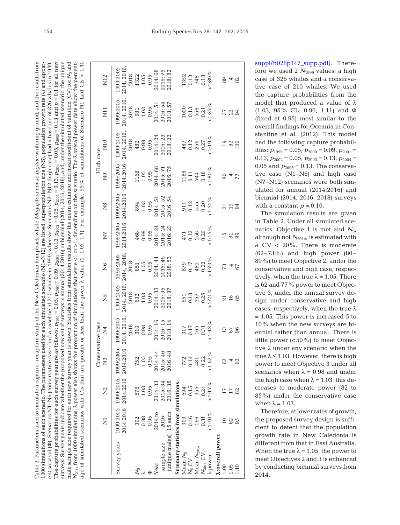Table 2. Parameters used to simulate a capture-recapture study of the New Caledonian humpback whale *Megaptera novaeangliae* wintering ground, and the results from The capture probabilities for each survey year are as follows:  $p_{1999} = 0.05$ ,  $p_{2000} = 0.09$ ,  $p_{2001} = 0.13$ ,  $p_{2002} = 0.05$ ,  $p_{2003} = 0.13$ ,  $p_{2004} = 0.13$  and  $p = 0.1$  for all new the unique  $N_{2014}$  from 1000 simulations. A:power also shows the proportion of simulations that were <1 or >1, depending on the scenario. The  $\lambda$ :overall power data show the percentage of simulated scenarios with CIs that are greater or less than the given  $\lambda$  value (1, 1.05, 1.1). For example, 95% of simulations of Scenario N1 had CIs < 1.10 Table 2. Parameters used to simulate a capture−recapture study of the New Caledonian humpback whale *Megaptera novaeangliae* wintering ground, and the results from *p* = 0.1 for all new surveys. Survey years indicate whether the proposed new set of surveys is annual (2014:2016) or biennial (2014, 2016, 2018), and, under the simulated scenario, the unique male sample size required for each new survey year is shown. Statistics from simulation results show the mean estimate and mean coefficient of variation (CV) for N<sub>S</sub> and age of simulated scenarios with CIs that are greater or less than the given λ value (1, 1.05, 1.1). For example, 95% of simulations of Scenario N1 had CIs < 1.10000 simulations of each scenario. The parameters used for each simulated scenario (N1-N12) are listed: superpopulation size (NS), population growth rate ( $\lambda$ ) and appar-1000 simulations of each scenario. The parameters used for each simulated scenario (N1−N12) are listed: superpopulation size (NS), population growth rate (λ) and appar-Scenarios N1-N6 (conservative case) had a baseline of 210 whales in 1999, whereas Scenarios N7-N12 (high case) had a baseline of 326 whales in 1999 Φ). Scenarios N1−N6 (conservative case) had a baseline of 210 whales in 1999, whereas Scenarios N7−N12 (high case) had a baseline of 326 whales in 1999.  $N_{2014}$  from 1000 simulations. λ:power also shows the proportion of simulations that were <1 or >1, depending on the scenario. The λ:overall power data show the percentmale sample size required for each new survey year is shown. Statistics from simulation results show the mean estimate and mean coefficient of variation (CV) for surveys. Survey years indicate whether the proposed new set of surveys is annual (2014;2016) or biennial (2014, 2016, 2018), and, under the simulated scenario,  $p_{2005} = 0.13$  and  $p_{2004} = 0.05$ ,  $p_{2003} = 0.13$ ,  $p_{2002} = 0.05$ ,  $p_{2001} = 0.13$ ,  $p_{2000} = 0.09$ ,  $p_{1999} = 0.05$ , The capture probabilities for each survey year are as follows:  $ent$  survival  $(\Phi)$ . ent survival (

|               | N12              | 1999:2005                                                      | 2014, 2016,<br>2018<br>2018<br>1322<br>1.05<br>1004: 68<br>2016: 75<br>2016: 82                                              |      |           |             |                                  |                                     |                  |                |                                                   |               | $\begin{array}{c} 1352 \\ 0.13 \\ 748 \\ 0.18 \\ 0.18 \\ \end{array}$                        |                                      |      | $\frac{4}{3}$               | 82   |
|---------------|------------------|----------------------------------------------------------------|------------------------------------------------------------------------------------------------------------------------------|------|-----------|-------------|----------------------------------|-------------------------------------|------------------|----------------|---------------------------------------------------|---------------|----------------------------------------------------------------------------------------------|--------------------------------------|------|-----------------------------|------|
|               | $\overline{N11}$ | 999:2005                                                       | 2014, 2016,<br>2018<br>2018<br>981<br>1.03<br>1.03<br>2014: 54<br>2016: 54<br>2018: 57                                       |      |           |             |                                  |                                     |                  |                |                                                   |               | $\begin{array}{c} 1000 \\ 0.13 \\ 556 \\ 0.21 \\ 0.37\% \end{array}$                         |                                      |      | 57<br>23<br>34              |      |
| - High case - | $\overline{N10}$ | 1999:2005                                                      | $\begin{array}{r} 2014, 2016, \\ 2018 \\ 482 \\ 0.98 \\ 0.95 \\ 2014, 24 \\ 2016, 23 \\ 2016, 22 \\ 2016, 22 \\ \end{array}$ |      |           |             |                                  |                                     |                  |                |                                                   |               | $487$<br>$0.12$<br>$256$<br>$256$<br>$1.19\%$<br>$1.19\%$                                    |                                      |      | $\frac{980}{280}$           |      |
|               | $\overline{2}$   | .999:2005<br>2014:2016                                         | $\begin{array}{c} 1168 \\ 1.05 \\ 1.05 \\ 2014:68 \\ 2015:71 \\ 2016:75 \end{array}$                                         |      |           |             |                                  |                                     |                  |                |                                                   |               | $\begin{array}{c}\n 1186 \\  0.11 \\  \hline\n 744 \\  0.18 \\  \hline\n 0.18\n \end{array}$ |                                      | 80   | $\overline{4}$              | 77   |
|               | $\frac{8}{5}$    | 2014:2016<br>999:2005                                          | $\begin{array}{c} 894 \\ 1.03 \\ 0.95 \\ 2014:51 \\ 2015:52 \\ 2016:54 \end{array}$                                          |      |           |             |                                  |                                     |                  |                |                                                   |               | 911<br>0.12<br>555<br>0.20<br>1.31 %                                                         |                                      |      | $\frac{1}{2}$ $\frac{1}{2}$ |      |
|               | $\overline{Z}$   | 2014:2016<br>999:2005                                          | $\begin{array}{c} 468 \\ 0.98 \\ 0.95 \\ 2014:24 \\ 2015:24 \\ 2015:24 \\ 2016:23 \end{array}$                               |      |           |             |                                  |                                     |                  |                |                                                   |               | $471$<br>$0.12$<br>$256$<br>$0.26$<br>$0.26$<br>$0.15\%$                                     |                                      |      | 15a                         |      |
|               | $\frac{6}{2}$    | 1999:2005                                                      | 2014, 2016,<br>2018<br>2018<br>851<br>1.05<br>1.05<br>2014: 44<br>2015: 46<br>2015: 46                                       |      |           |             |                                  |                                     |                  |                |                                                   |               | $0.17$<br>0.17<br>482<br>0.22<br>1.73%                                                       |                                      | 73   |                             | 67   |
|               | $\overline{Z}$   | 1999:2005                                                      | 2014, 2016,<br>2018<br>2018<br>632<br>1.03<br>1.03<br>2014: 33<br>2016: 35<br>2018: 37                                       |      |           |             |                                  |                                     |                  |                |                                                   |               | $651$<br>0.18<br>357<br>0.25<br>1.21 %                                                       |                                      |      | $\frac{21}{18}$             |      |
| vative case   | $\overline{A}$   | 1999:2005                                                      | $\begin{array}{r} 2014, 2016,\\ 2018\\ 310\\ 0.98\\ 0.95\\ 2014; \;16\\ 2016; \;15\\ 2016; \;14 \end{array}$                 |      |           |             |                                  |                                     |                  |                |                                                   |               | $\begin{array}{c} 317 \\ 0.17 \\ 165 \\ 0.31 \\ 1.13\% \end{array}$                          |                                      | 13   | 67                          | 96   |
| - Conser      | $\widetilde{Z}$  |                                                                | 752<br>1.05<br>0.95                                                                                                          |      |           |             | 2014: 44<br>2015: 46<br>2016: 48 |                                     |                  |                | 772<br>0.14<br>481<br>0.22                        |               | 1.62%                                                                                        |                                      | 62   |                             | 62   |
|               | $\tilde{z}$      | 1999:2005 1999:2005 1999:2005<br>2014:2016 2014:2016 2014:2016 | 576<br>1.03                                                                                                                  | 0.95 |           |             | 2014: 33<br>2015: 34<br>2016: 35 |                                     |                  |                | 594<br>0.15<br>0.354<br>0.24                      |               | $-1.17\%$                                                                                    |                                      |      | $17\,$                      | 82   |
|               | $\overline{z}$   |                                                                | $302$<br>$0.98$                                                                                                              | 0.95 | $2014$ to | 2016:       |                                  |                                     |                  |                | $\begin{array}{c} 309 \\ 0.16 \\ 166 \end{array}$ | 0.31          | $:1:10\%$                                                                                    |                                      |      | $62\,$                      | 95   |
|               |                  | Survey years                                                   |                                                                                                                              |      | Year:     | sample size | (unique males) 15 each           | Summary statistics from simulations | Mean $N_{\rm S}$ | $N_{\rm S}$ CV | Mean $N_{\rm 2014}$                               | $N_{2014}$ CV | l:power                                                                                      | <b><i><u>A:overall power</u></i></b> | 1.00 |                             | 1.10 |

suppl/n028p147\_supp.pdf). Therefore we used 2  $N_{1999}$  values: a high case of 326 whales and a conservative case of 210 whales. We used the capture probabilities from the model that produced a value of  $\lambda$ (1.03, 95% CL: 0.96, 1.11) and Φ (fixed at 0.95) most similar to the overall findings for Oceania in Constantine et al. (2012). This model had the following capture probabilities:  $p_{1999} = 0.05$ ,  $p_{2000} = 0.09$ ,  $p_{2001} =$ 0.13,  $p_{2002} = 0.05$ ,  $p_{2003} = 0.13$ ,  $p_{2004} =$ 0.05 and  $p_{2005} = 0.13$ . The conservative case (N1−N6) and high case (N7−N12) scenarios were both simulated for annual (2014:2016) and biennial (2014, 2016, 2018) surveys with a constant  $p = 0.10$ .

The simulation results are given in Table 2. Under all simulated scenarios, Objective 1 is met and  $N_{\rm S}$ , although not  $N_{2014}$ , is estimated with a CV < 20%. There is moderate (62–73%) and high power (80– 89%) to meet Objective 2, under the conservative and high case, respectively, when the true  $\lambda = 1.05$ . There is 62 and 77% power to meet Objective 3, under the annual survey design under conservative and high cases, respectively, when the true  $\lambda$  $= 1.05$ . This power is increased 5 to 10% when the new surveys are biennial rather than annual. There is little power  $(<50\%)$  to meet Objective 2 under any scenario when the true  $\lambda \leq 1.03$ . However, there is high power to meet Objective 3 under all scenarios when  $\lambda = 0.98$  and under the high case when  $\lambda = 1.03$ ; this decreases to moderate power (82 to 85%) under the conservative case when  $\lambda = 1.03$ .

Therefore, at lower rates of growth, the proposed survey design is sufficient to detect that the population growth rate in New Caledonia is different from that in East Australia. When the true  $\lambda = 1.05$ , the power to meet Objectives 2 and 3 is enhanced by conducting biennial surveys from 2014.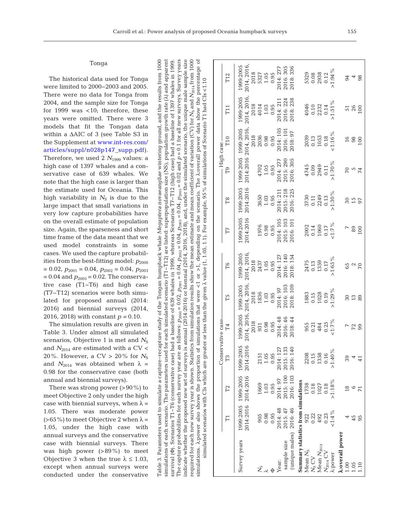|                                                                                                                                                                                                                                                                                                                                                                                                                                                                                                                                                                                                                                                                                                                                                                                                    |                   | T12            | 2014, 2016<br>1999:2005<br>2018              | 5327 | 1.05                 | 0.95 | 2014: 277          | 2016: 305<br>2018: 336        |                                     | 5329             | 0.08                | 2938            | 0.12          | $>1:94\%$             |                               | 34            | 4             | 98             |
|----------------------------------------------------------------------------------------------------------------------------------------------------------------------------------------------------------------------------------------------------------------------------------------------------------------------------------------------------------------------------------------------------------------------------------------------------------------------------------------------------------------------------------------------------------------------------------------------------------------------------------------------------------------------------------------------------------------------------------------------------------------------------------------------------|-------------------|----------------|----------------------------------------------|------|----------------------|------|--------------------|-------------------------------|-------------------------------------|------------------|---------------------|-----------------|---------------|-----------------------|-------------------------------|---------------|---------------|----------------|
|                                                                                                                                                                                                                                                                                                                                                                                                                                                                                                                                                                                                                                                                                                                                                                                                    |                   | T11            | 2014, 2016<br>1999:2005<br>2018              | 4014 | 1.03                 | 0.95 | 2014: 211          | 2016: 224<br>2018:238         |                                     | 4046             | $0.10$<br>2232      |                 | 0.14          | $>1:51\%$             |                               | 51            | 26            | 100            |
|                                                                                                                                                                                                                                                                                                                                                                                                                                                                                                                                                                                                                                                                                                                                                                                                    | -High case        | T10            | 1999:2005<br>2014:2016 2014, 2016<br>2018    | 2036 | 0.98                 | 0.95 | 2014: 105          | 2016: 101<br>2018:97          |                                     | 2039             | $\frac{0.13}{1053}$ |                 | 0.18          | $1:16\%$              |                               | 16            | 98            | 100            |
|                                                                                                                                                                                                                                                                                                                                                                                                                                                                                                                                                                                                                                                                                                                                                                                                    |                   | P              | 1999:2005                                    | 4702 | 1.05                 | 0.95 | 2014: 277          | 2016: 305<br>2015:290         |                                     | 4745             | 0.09<br>2949        |                 | 0.11          | $>1.70\%$             |                               | 70            | 5             | F <sub>4</sub> |
|                                                                                                                                                                                                                                                                                                                                                                                                                                                                                                                                                                                                                                                                                                                                                                                                    |                   | T <sub>8</sub> | 1999:2005<br>2014:2016                       | 3650 | 1.03                 | 0.95 | 2014: 211          | 2015: 218<br>2016: 225        |                                     | 3730             | $0.11$<br>2249      |                 | 0.13          | $>1.30\%$             |                               | 30            | 15<br>97      |                |
|                                                                                                                                                                                                                                                                                                                                                                                                                                                                                                                                                                                                                                                                                                                                                                                                    |                   | Г7             | 1999:2005<br>2014:2016                       | 1976 | 0.98                 | 0.95 | 2014: 105          | 2015: 103<br>2016: 101        |                                     | 2002             | 0.14<br>1060        |                 | 0.17          | $< 1.7 \%$            |                               |               | 89            | 100            |
| is annual (2014:2016) or biennial (2014, 2016, 2018), and, under the simulated scenario, the unique male sample size<br>tics from simulation results show the mean estimate and mean coefficient of variation (CV) for $N_8$ and $N_{2014}$ from 1000<br>of simulations that were <1 or >1, depending on the scenario. The <i>k</i> .overall power data show the percentage of<br>had a baseline of 639 whales in 1999, whereas Scenarios T7-T12 (high case) had a baseline of 1397 whales in 1999<br>simulated scenarios with CIs which are greater or less than the given $\lambda$ value (1, 1, 05, 1.1). For example, 95% of simulations of Scenario T1 had CIs <1.10                                                                                                                          |                   | T6             | 2014, 2016<br>1999:2005<br>2018              | 2437 | 1.05                 | 0.95 | 2014: 127          | 2016: 140<br>2018: 154        |                                     | 2475             | 0.13                | 1359            | 0.17          | $>1:65\%$             |                               | 65            | $\frac{2}{5}$ |                |
|                                                                                                                                                                                                                                                                                                                                                                                                                                                                                                                                                                                                                                                                                                                                                                                                    |                   | T5             | 1999:2005<br>2018                            | 1836 | 1.03                 | 0.95 | 2014: 97           | 2016: 103<br>2018: 109        |                                     | 1883             | 0.15                | 1028            | 0.19          | $>1:29\%$             |                               | 30            | 13            | 89             |
|                                                                                                                                                                                                                                                                                                                                                                                                                                                                                                                                                                                                                                                                                                                                                                                                    | Conservative case | F4             | 2014, 2016, 2014, 2016,<br>1999:2005<br>2018 | 931  | 0.98                 | 0.95 | 2014: 48           | 2016: 46<br>2018: 44          |                                     | 955              | $\frac{0.21}{484}$  |                 | 0.25          | $< 1.7 \%$            |                               | F             | $72$ $99$     |                |
|                                                                                                                                                                                                                                                                                                                                                                                                                                                                                                                                                                                                                                                                                                                                                                                                    |                   | T3             | 2014:2016<br>1999:2005                       | 2151 | 1.05                 | 0.95 | 27<br>33<br>2014:1 | 40<br>2016:1<br>2015:1        |                                     | 2208             | 0.15                | 1358            | 0.16          | $>1.40\%$             |                               | 39            |               |                |
|                                                                                                                                                                                                                                                                                                                                                                                                                                                                                                                                                                                                                                                                                                                                                                                                    |                   | $\Gamma$ 2     | 2014:2016<br>1999:2005                       | 1669 | 1.03                 | 0.95 | 2014:97            | 2015:100<br>2016: 103         |                                     | 1738             | 0.18                | 1027            | 0.18          | $>1.18\%$             |                               | $\frac{8}{1}$ | $\circ$       |                |
|                                                                                                                                                                                                                                                                                                                                                                                                                                                                                                                                                                                                                                                                                                                                                                                                    |                   |                | 2014:2016<br>1999:2005                       | 905  | 0.98                 | 0.95 | 2014:48            | 2016:46<br>2015:47            |                                     | 922              | 0.22                | 492             | 0.23          | $< 1.4 \%$            |                               |               | 45            | 95             |
| The capture probabilities for each survey year are as follows: $p_{2000}$ = 0.04, $p_{2001}$ = 0.04, $p_{2002}$ = 0.04, $p_{2003}$ = 0.04, $p_{2003}$ = 0.02 and $p$ = 0.1 for all new surveys. Survey years<br>Table 3. Parameters used to simulate a capture-recapture study of the Tongan humpback whale <i>Megaptera novaeangliae</i> wintering ground, and the results from 1000<br>simulations of each scenario. The parameters used for each simulated scenario (T1-T12) are listed: superpopulation size (NS), population growth rate ( $\lambda$ ) and apparent<br>indicate whether the proposed new set of surveys<br>required for each new survey year is shown. Statis<br>survival (Φ). Scenarios T1-T6 (conservative case)<br>simulations. $\lambda$ :power also shows the proportion |                   |                | Survey years                                 |      | $\stackrel{S}{\sim}$ |      | Year:              | (unique males)<br>sample size | Summary statistics from simulations | Mean $N_{\rm S}$ | $N_{\rm S}$ CV      | Mean $N_{2014}$ | $N_{2014}$ CV | <i><b>A:power</b></i> | <b><i>A:overall</i></b> power | 1.00          | 1.05          | 1.10           |

## Tonga

The historical data used for Tonga were limited to 2000−2003 and 2005. There were no data for Tonga from 2004, and the sample size for Tonga for 1999 was  $<$ 10; therefore, these years were omitted. There were 3 models that fit the Tongan data within a  $ΔAIC$  of 3 (see Table S3 in the Supplement at [www.int-res .com/](http://www.int-res.com/articles/suppl/n028p147_supp.pdf) articles/suppl/n028p147\_supp.pdf). Therefore, we used 2  $N_{1999}$  values: a high case of 1397 whales and a conservative case of 639 whales. We note that the high case is larger than the estimate used for Oceania. This high variability in  $N<sub>S</sub>$  is due to the large impact that small variations in very low capture probabilities have on the overall estimate of population size. Again, the sparseness and short time frame of the data meant that we used model constraints in some cases. We used the capture probabilities from the best-fitting model:  $p_{2000}$  $= 0.02, p_{2001} = 0.04, p_{2002} = 0.04, p_{2003}$  $= 0.04$  and  $p_{2005} = 0.02$ . The conservative case (T1−T6) and high case (T7−T12) scenarios were both simulated for proposed annual (2014: 2016) and biennial surveys (2014, 2016, 2018) with constant *p =* 0.10.

The simulation results are given in Table 3. Under almost all simulated scenarios, Objective 1 is met and  $N<sub>S</sub>$ and  $N_{2014}$  are estimated with a CV < 20%. However, a CV  $> 20\%$  for  $N_S$ and  $N_{2014}$  was obtained when  $\lambda =$ 0.98 for the conservative case (both annual and biennial surveys).

There was strong power (>90%) to meet Objective 2 only under the high case with biennial surveys, when  $\lambda =$ 1.05. There was moderate power (>65%) to meet Objective 2 when  $\lambda =$ 1.05, under the high case with annual surveys and the conservative case with biennial surveys. There was high power (>89%) to meet Objective 3 when the true  $\lambda \leq 1.03$ , except when annual surveys were conducted under the conservative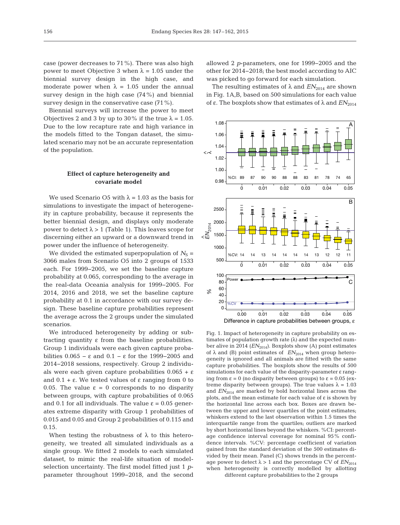case (power decreases to 71%). There was also high power to meet Objective 3 when λ = 1.05 under the biennial survey design in the high case, and moderate power when  $\lambda = 1.05$  under the annual survey design in the high case (74%) and biennial survey design in the conservative case  $(71\%)$ .

Biennial surveys will increase the power to meet Objectives 2 and 3 by up to 30% if the true  $\lambda = 1.05$ . Due to the low recapture rate and high variance in the models fitted to the Tongan dataset, the simulated scenario may not be an accurate representation of the population.

# **Effect of capture heterogeneity and covariate model**

We used Scenario O5 with  $\lambda = 1.03$  as the basis for simulations to investigate the impact of heterogeneity in capture probability, because it represents the better biennial design, and displays only moderate power to detect  $λ$  > 1 (Table 1). This leaves scope for discerning either an upward or a downward trend in power under the influence of heterogeneity.

We divided the estimated superpopulation of  $N<sub>S</sub>$  = 3066 males from Scenario O5 into 2 groups of 1533 each. For 1999−2005, we set the baseline capture probability at 0.065, corresponding to the average in the real-data Oceania analysis for 1999−2005. For 2014, 2016 and 2018, we set the baseline capture probability at 0.1 in accordance with our survey design. These baseline capture probabilities represent the average across the 2 groups under the simulated scenarios.

We introduced heterogeneity by adding or subtracting quantity ε from the baseline probabilities. Group 1 individuals were each given capture probabilities  $0.065 - \varepsilon$  and  $0.1 - \varepsilon$  for the 1999–2005 and 2014−2018 sessions, respectively. Group 2 individuals were each given capture probabilities  $0.065 + \varepsilon$ and  $0.1 + ε$ . We tested values of ε ranging from 0 to 0.05. The value ε = 0 corresponds to no disparity between groups, with capture probabilities of 0.065 and 0.1 for all individuals. The value  $\varepsilon = 0.05$  generates extreme disparity with Group 1 probabilities of 0.015 and 0.05 and Group 2 probabilities of 0.115 and 0.15.

When testing the robustness of  $\lambda$  to this heterogeneity, we treated all simulated individuals as a single group. We fitted 2 models to each simulated dataset, to mimic the real-life situation of modelselection uncertainty. The first model fitted just 1 *p*parameter throughout 1999−2018, and the second

allowed 2 *p*-parameters, one for 1999−2005 and the other for 2014−2018; the best model according to AIC was picked to go forward for each simulation.

The resulting estimates of  $\lambda$  and  $EN_{2014}$  are shown in Fig. 1A,B, based on 500 simulations for each value of ε. The boxplots show that estimates of  $\lambda$  and  $EN_{2014}$ 



Fig. 1. Impact of heterogeneity in capture probability on estimates of population growth rate  $(\lambda)$  and the expected number alive in 2014  $(EN_{2014})$ . Boxplots show (A) point estimates of  $\lambda$  and (B) point estimates of  $EN_{2014}$  when group heterogeneity is ignored and all animals are fitted with the same capture probabilities. The boxplots show the results of 500 simulations for each value of the disparity-parameter ε ranging from  $\varepsilon = 0$  (no disparity between groups) to  $\varepsilon = 0.05$  (extreme disparity between groups). The true values  $\lambda = 1.03$ and  $EN_{2014}$  are marked by bold horizontal lines across the plots, and the mean estimate for each value of ε is shown by the horizontal line across each box. Boxes are drawn between the upper and lower quartiles of the point estimates; whiskers extend to the last observation within 1.5 times the interquartile range from the quartiles; outliers are marked by short horizontal lines beyond the whiskers. %CI: percentage confidence interval coverage for nominal 95% confidence intervals. %CV: percentage coefficient of variation gained from the standard deviation of the 500 estimates divided by their mean. Panel (C) shows trends in the percentage power to detect  $\lambda > 1$  and the percentage CV of  $EN_{2014}$ when heterogeneity is correctly modelled by allotting different capture probabilities to the 2 groups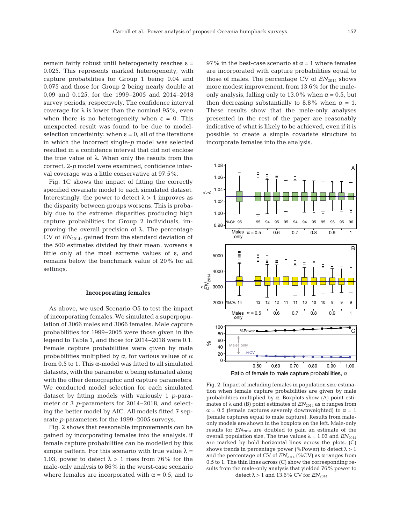remain fairly robust until heterogeneity reaches ε = 0.025. This represents marked heterogeneity, with capture probabilities for Group 1 being 0.04 and 0.075 and those for Group 2 being nearly double at 0.09 and 0.125, for the 1999−2005 and 2014−2018 survey periods, respectively. The confidence interval coverage for  $\lambda$  is lower than the nominal 95%, even when there is no heterogeneity when  $\varepsilon = 0$ . This unexpected result was found to be due to modelselection uncertainty: when  $\varepsilon = 0$ , all of the iterations in which the incorrect single-*p* model was selected resulted in a confidence interval that did not enclose the true value of  $λ$ . When only the results from the correct, 2-*p* model were examined, confidence interval coverage was a little conservative at 97.5%.

Fig. 1C shows the impact of fitting the correctly specified covariate model to each simulated dataset. Interestingly, the power to detect  $\lambda > 1$  improves as the disparity between groups worsens. This is probably due to the extreme disparities producing high capture probabilities for Group 2 individuals, im proving the overall precision of λ. The percentage CV of  $EN<sub>2014</sub>$ , gained from the standard deviation of the 500 estimates divided by their mean, worsens a little only at the most extreme values of ε, and remains below the benchmark value of 20% for all settings.

#### **Incorporating females**

As above, we used Scenario O5 to test the impact of incorporating females. We simulated a superpopulation of 3066 males and 3066 females. Male capture probabilities for 1999−2005 were those given in the legend to Table 1, and those for 2014−2018 were 0.1. Female capture probabilities were given by male probabilities multiplied by  $\alpha$ , for various values of  $\alpha$ from 0.5 to 1. This  $\alpha$ -model was fitted to all simulated datasets, with the parameter  $\alpha$  being estimated along with the other demographic and capture parameters. We conducted model selection for each simulated dataset by fitting models with variously 1 *p*-para meter or 3 *p*-parameters for 2014−2018, and selecting the better model by AIC. All models fitted 7 separate *p*-parameters for the 1999−2005 surveys.

Fig. 2 shows that reasonable improvements can be gained by incorporating females into the analysis, if female capture probabilities can be modelled by this simple pattern. For this scenario with true value  $\lambda =$ 1.03, power to detect  $\lambda > 1$  rises from 76% for the male-only analysis to 86% in the worst-case scenario where females are incorporated with  $\alpha = 0.5$ , and to 97% in the best-case scenario at  $\alpha$  = 1 where females are incorporated with capture probabilities equal to those of males. The percentage CV of  $EN_{2014}$  shows more modest improvement, from 13.6% for the maleonly analysis, falling only to 13.0% when  $\alpha$  = 0.5, but then decreasing substantially to 8.8% when  $\alpha = 1$ . These results show that the male-only analyses presented in the rest of the paper are reasonably indicative of what is likely to be achieved, even if it is possible to create a simple covariate structure to incorporate females into the analysis.



Fig. 2. Impact of including females in population size estimation when female capture probabilities are given by male probabilities multiplied by α. Boxplots show (A) point estimates of  $\lambda$  and (B) point estimates of  $EN_{2014}$  as  $\alpha$  ranges from  $\alpha$  = 0.5 (female captures severely downweighted) to  $\alpha$  = 1 (female captures equal to male capture). Results from maleonly models are shown in the boxplots on the left. Male-only results for  $EN_{2014}$  are doubled to gain an estimate of the overall population size. The true values  $λ = 1.03$  and  $EN<sub>2014</sub>$ are marked by bold horizontal lines across the plots. (C) shows trends in percentage power (%Power) to detect  $\lambda > 1$ and the percentage of CV of  $EN_{2014}$  (%CV) as  $\alpha$  ranges from 0.5 to 1. The thin lines across (C) show the corresponding results from the male-only analysis that yielded 76% power to detect  $\lambda > 1$  and 13.6% CV for  $EN_{2014}$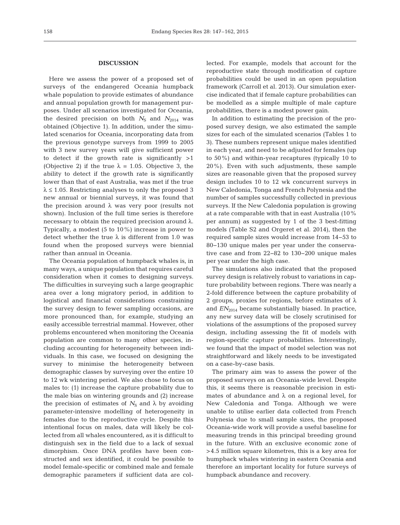# **DISCUSSION**

Here we assess the power of a proposed set of surveys of the endangered Oceania humpback whale population to provide estimates of abundance and annual population growth for management purposes. Under all scenarios investigated for Oceania, the desired precision on both  $N<sub>S</sub>$  and  $N<sub>2014</sub>$  was obtained (Objective 1). In addition, under the simulated scenarios for Oceania, incorporating data from the previous genotype surveys from 1999 to 2005 with 3 new survey years will give sufficient power to detect if the growth rate is significantly  $>1$ (Objective 2) if the true  $\lambda = 1.05$ . Objective 3, the ability to detect if the growth rate is significantly lower than that of east Australia, was met if the true  $\lambda \leq 1.05$ . Restricting analyses to only the proposed 3 new annual or biennial surveys, it was found that the precision around  $λ$  was very poor (results not shown). Inclusion of the full time series is therefore necessary to obtain the required precision around  $λ$ . Typically, a modest (5 to 10%) increase in power to detect whether the true  $\lambda$  is different from 1.0 was found when the proposed surveys were biennial rather than annual in Oceania.

The Oceania population of humpback whales is, in many ways, a unique population that requires careful consideration when it comes to designing surveys. The difficulties in surveying such a large geographic area over a long migratory period, in addition to logistical and financial considerations constraining the survey design to fewer sampling occasions, are more pronounced than, for example, studying an easily accessible terrestrial mammal. However, other problems encountered when monitoring the Oceania population are common to many other species, in cluding accounting for heterogeneity between individuals. In this case, we focused on designing the survey to minimise the heterogeneity between demographic classes by surveying over the entire 10 to 12 wk wintering period. We also chose to focus on males to: (1) increase the capture probability due to the male bias on wintering grounds and (2) increase the precision of estimates of  $N<sub>S</sub>$  and  $\lambda$  by avoiding parameter-intensive modelling of heterogeneity in females due to the reproductive cycle. Despite this intentional focus on males, data will likely be collected from all whales encountered, as it is difficult to distinguish sex in the field due to a lack of sexual dimorphism. Once DNA profiles have been constructed and sex identified, it could be possible to model female-specific or combined male and female demographic parameters if sufficient data are collected. For example, models that account for the reproductive state through modification of capture probabilities could be used in an open population framework (Carroll et al. 2013). Our simulation exercise indicated that if female capture probabilities can be modelled as a simple multiple of male capture probabilities, there is a modest power gain.

In addition to estimating the precision of the proposed survey design, we also estimated the sample sizes for each of the simulated scenarios (Tables 1 to 3). These numbers represent unique males identified in each year, and need to be adjusted for females (up to 50%) and within-year recaptures (typically 10 to 20%). Even with such adjustments, these sample sizes are reasonable given that the proposed survey design includes 10 to 12 wk concurrent surveys in New Caledonia, Tonga and French Polynesia and the number of samples successfully collected in previous surveys. If the New Caledonia population is growing at a rate comparable with that in east Australia (10% per annum) as suggested by 1 of the 3 best-fitting models (Table S2 and Orgeret et al. 2014), then the required sample sizes would increase from 14−53 to 80−130 unique males per year under the conservative case and from 22−82 to 130−200 unique males per year under the high case.

The simulations also indicated that the proposed survey design is relatively robust to variations in capture probability between regions. There was nearly a 2-fold difference between the capture probability of 2 groups, proxies for regions, before estimates of  $\lambda$ and  $EN_{2014}$  became substantially biased. In practice, any new survey data will be closely scrutinised for violations of the assumptions of the proposed survey design, including assessing the fit of models with region-specific capture probabilities. Interestingly, we found that the impact of model selection was not straightforward and likely needs to be investigated on a case-by-case basis.

The primary aim was to assess the power of the proposed surveys on an Oceania-wide level. Despite this, it seems there is reasonable precision in estimates of abundance and  $\lambda$  on a regional level, for New Caledonia and Tonga. Although we were unable to utilise earlier data collected from French Polynesia due to small sample sizes, the proposed Oceania-wide work will provide a useful baseline for measuring trends in this principal breeding ground in the future. With an exclusive economic zone of >4.5 million square kilometres, this is a key area for humpback whales wintering in eastern Oceania and therefore an important locality for future surveys of humpback abundance and recovery.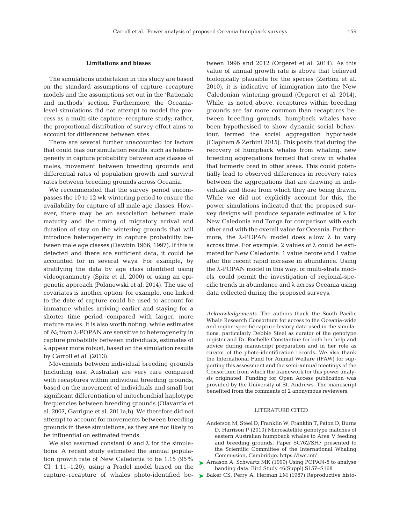## **Limitations and biases**

The simulations undertaken in this study are based on the standard assumptions of capture−recapture models and the assumptions set out in the 'Rationale and methods' section. Furthermore, the Oceanialevel simulations did not attempt to model the process as a multi-site capture−recapture study; rather, the proportional distribution of survey effort aims to account for differences between sites.

There are several further unaccounted for factors that could bias our simulation results, such as heterogeneity in capture probability between age classes of males, movement between breeding grounds and differential rates of population growth and survival rates between breeding grounds across Oceania.

We recommended that the survey period encompasses the 10 to 12 wk wintering period to ensure the availability for capture of all male age classes. However, there may be an association between male maturity and the timing of migratory arrival and duration of stay on the wintering grounds that will introduce heterogeneity in capture probability be tween male age classes (Dawbin 1966, 1997). If this is detected and there are sufficient data, it could be accounted for in several ways. For example, by stratifying the data by age class identified using videogrammetry (Spitz et al. 2000) or using an epigenetic approach (Polanowski et al. 2014). The use of covariates is another option; for example, one linked to the date of capture could be used to account for immature whales arriving earlier and staying for a shorter time period compared with larger, more mature males. It is also worth noting, while estimates of  $N<sub>S</sub>$  from  $\lambda$ -POPAN are sensitive to heterogeneity in capture probability between individuals, estimates of  $\lambda$  appear more robust, based on the simulation results by Carroll et al. (2013).

Movements between individual breeding grounds (including east Australia) are very rare compared with recaptures within individual breeding grounds, based on the movement of individuals and small but significant differentiation of mitochondrial haplotype frequencies between breeding grounds (Olavarría et al. 2007, Garrigue et al. 2011a,b). We therefore did not attempt to account for movements between breeding grounds in these simulations, as they are not likely to be influential on estimated trends.

We also assumed constant  $\Phi$  and  $\lambda$  for the simulations. A recent study estimated the annual population growth rate of New Caledonia to be 1.15 (95% CI: 1.11−1.20), using a Pradel model based on the capture−recapture of whales photo-identified be - tween 1996 and 2012 (Orgeret et al. 2014). As this value of annual growth rate is above that believed biologically plausible for the species (Zerbini et al. 2010), it is indicative of immigration into the New Caledonian wintering ground (Orgeret et al. 2014). While, as noted above, recaptures within breeding grounds are far more common than recaptures be tween breeding grounds, humpback whales have been hypothesised to show dynamic social behaviour, termed the social aggregation hypothesis (Clapham & Zerbini 2015). This posits that during the recovery of humpback whales from whaling, new breeding aggregations formed that drew in whales that formerly bred in other areas. This could potentially lead to observed differences in recovery rates between the aggregations that are drawing in individuals and those from which they are being drawn. While we did not explicitly account for this, the power simulations indicated that the proposed survey designs will produce separate estimates of λ for New Caledonia and Tonga for comparison with each other and with the overall value for Oceania. Furthermore, the  $\lambda$ -POPAN model does allow  $\lambda$  to vary across time. For example, 2 values of λ could be estimated for New Caledonia: 1 value before and 1 value after the recent rapid increase in abundance. Using the λ-POPAN model in this way, or multi-strata models, could permit the investigation of regional-specific trends in abundance and λ across Oceania using data collected during the proposed surveys.

*Acknowledgements*. The authors thank the South Pacific Whale Research Consortium for access to the Oceania-wide and region-specific capture history data used in the simulations, particularly Debbie Steel as curator of the genotype register and Dr. Rochelle Constantine for both her help and advice during manuscript preparation and in her role as curator of the photo-identification records. We also thank the International Fund for Animal Welfare (IFAW) for supporting this assessment and the semi-annual meetings of the Consortium from which the framework for this power analysis originated. Funding for Open Access publication was provided by the University of St. Andrews. The manuscript benefited from the comments of 2 anonymous reviewers.

### LITERATURE CITED

- Anderson M, Steel D, Franklin W, Franklin T, Paton D, Burns D, Harrison P (2010) Microsatellite genotype matches of eastern Australian humpback whales to Area V feeding and breeding grounds. Paper SC/62/SH7 presented to the Scientific Committee of the International Whaling Commission, Cambridge. https://iwc.int/
- ▶ [Arnason A, Schwartz MK \(1999\) Using POPAN-5 to analyse](http://dx.doi.org/10.1080/00063659909477242) banding data. Bird Study 46(Suppl): S157-S168
- ▶ [Baker CS, Perry A, Herman LM \(1987\) Reproductive histo-](http://dx.doi.org/10.3354/meps041103)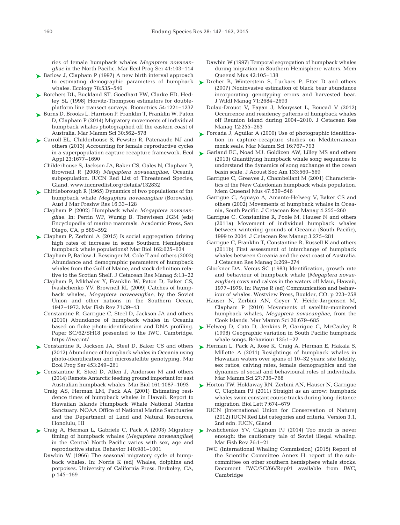ries of female humpback whales *Megaptera novaeangliae* in the North Pacific. Mar Ecol Prog Ser 41:103-114

- ► [Barlow J, Clapham P \(1997\) A new birth interval approach](http://dx.doi.org/10.1890/0012-9658(1997)078[0535%3AANBIAT]2.0.CO%3B2) to estimating demographic parameters of humpback whales. Ecology 78:535-546
- ▶ [Borchers DL, Buckland ST, Goedhart PW, Clarke ED, Hed](http://dx.doi.org/10.2307/2533652)ley SL (1998) Horvitz-Thompson estimators for doubleplatform line transect surveys. Biometrics 54: 1221−1237
- ► [Burns D, Brooks L, Harrison P, Franklin T, Franklin W, Paton](http://dx.doi.org/10.1111/mms.12057) D, Clapham P (2014) Migratory movements of individual humpback whales photographed off the eastern coast of Australia. Mar Mamm Sci 30: 562−578
- ▶ [Carroll EL, Childerhouse S, Fewster R, Patenaude NJ and](http://dx.doi.org/10.1890/12-1657.1) others (2013) Accounting for female reproductive cycles in a superpopulation capture recapture framework. Ecol Appl 23: 1677−1690
	- Childerhouse S, Jackson JA, Baker CS, Gales N, Clapham P, Brownell R (2008) *Megaptera novaeangliae*, Oceania subpopulation. IUCN Red List of Threatened Species, Gland. www.iucnredlist.org/details/132832
- ► [Chittleborough R \(1965\) Dynamics of two populations of the](http://dx.doi.org/10.1071/MF9650033) humpback whale *Megaptera novaeangliae* (Borowski). Aust J Mar Freshw Res 16:33-128
	- Clapham P (2002) Humpback whale *Megaptera novaeangliae*. In: Perrin WF, Wursig B, Thewissen JGM (eds) Encyclopedia of marine mammals. Academic Press, San Diego, CA, p 589−592
- ► [Clapham P, Zerbini A \(2015\) Is social aggregation driving](http://dx.doi.org/10.1007/s00227-015-2610-3) high rates of increase in some Southern Hemisphere humpback whale populations? Mar Biol 162:625-634
	- Clapham P, Barlow J, Bessinger M, Cole T and others (2003) Abundance and demographic parameters of humpback whales from the Gulf of Maine, and stock definition relative to the Scotian Shelf. J Cetacean Res Manag 5: 13−22
	- Clapham P, Mikhalev Y, Franklin W, Paton D, Baker CS, Ivashchenko YV, Brownell RL (2009) Catches of humpback whales, *Megaptera novaeangliae*, by the Soviet Union and other nations in the Southern Ocean, 1947-1973. Mar Fish Rev 71:39-43
	- Constantine R, Garrigue C, Steel D, Jackson JA and others (2010) Abundance of humpback whales in Oceania based on fluke photo-identification and DNA profiling. Paper SC/62/SH18 presented to the IWC, Cambridge. https://iwc.int/
- ► [Constantine R, Jackson JA, Steel D, Baker CS and others](http://dx.doi.org/10.3354/meps09613) (2012) Abundance of humpback whales in Oceania using photo-identification and microsatellite genotyping. Mar Ecol Prog Ser 453: 249−261
- ▶ [Constantine R, Steel D, Allen J, Anderson M and others](http://dx.doi.org/10.1007/s00227-014-2401-2) (2014) Remote Antarctic feeding ground important for east Australian humpback whales. Mar Biol 161: 1087–1093
- Craig AS, Herman LM, Pack AA (2001) Estimating residence times of humpback whales in Hawaii. Report to Hawaiian Islands Humpback Whale National Marine Sanctuary. NOAA Office of National Marine Sanctuaries and the Department of Land and Natural Resources, Honolulu, HI
- ▶ [Craig A, Herman L, Gabriele C, Pack A \(2003\) Migratory](http://dx.doi.org/10.1163/156853903322589605) timing of humpback whales (*Megaptera novaeangliae*) in the Central North Pacific varies with sex, age and reproductive status. Behavior 140: 981−1001
	- Dawbin W (1966) The seasonal migratory cycle of humpback whales. In: Norris K (ed) Whales, dolphins and porpoises. University of California Press, Berkeley, CA, p 145−169
- Dawbin W (1997) Temporal segregation of humpback whales during migration in Southern Hemisphere waters. Mem Queensl Mus 42:105-138
- ▶ [Dreher B, Winterstein S, Luckacs P, Etter D and others](http://dx.doi.org/10.2193/2006-398) (2007) Noninvasive estimation of black bear abundance incorporating genotyping errors and harvested bear. J Wildl Manag 71:2684-2693
	- Dulau-Drouot V, Fayan J, Mouysset L, Boucad V (2012) Occurrence and residency patterns of humpback whales off Reunion Island during 2004−2010. J Cetacean Res Manag 12:255-263
- ► [Forcada J, Aguilar A \(2000\) Use of photographic identifica](http://dx.doi.org/10.1111/j.1748-7692.2000.tb00971.x)tion in capture−recapture studies on Mediterranean monk seals. Mar Mamm Sci 16: 767−793
- ► [Garland EC, Noad MJ, Goldizen AW, Lilley MS and others](http://dx.doi.org/10.1121/1.4770232) (2013) Quantifying humpback whale song sequences to understand the dynamics of song exchange at the ocean basin scale. J Acoust Soc Am 133: 560−569
	- Garrigue C, Greaves J, Chambellant M (2001) Characteristics of the New Caledonian humpback whale population. Mem Queensl Mus 47:539-546
	- Garrigue C, Aguayo A, Amante-Helweg V, Baker CS and others (2002) Movements of humpback whales in Oceania, South Pacific. J Cetacean Res Manag 4:255−260
	- Garrigue C, Constantine R, Poole M, Hauser N and others (2011a) Movement of individual humpback whales between wintering grounds of Oceania (South Pacific), 1999 to 2004. J Cetacean Res Manag 3:275-281
	- Garrigue C, Franklin T, Constantine R, Russell K and others (2011b) First assessment of interchange of humpback whales between Oceania and the east coast of Australia. J Cetacean Res Manag 3: 269−274
	- Glockner DA, Venus SC (1983) Identification, growth rate and behaviour of humpback whale (*Megaptera novae angliae*) cows and calves in the waters off Maui, Hawaii, 1977−1979. In:Payne R (ed) Communication and behaviour of whales. Westview Press, Boulder, CO, p 223−258
	- Hauser N, Zerbini AN, Geyer Y, Heide-Jørgensen M, Clapham P (2010) Movements of satellite-monitored humpback whales, *Megaptera novaeangliae*, from the Cook Islands. Mar Mamm Sci 26: 679−685
- ▶ [Helweg D, Cato D, Jenkins P, Garrigue C, McCauley R](http://dx.doi.org/10.1163/156853998793066438) (1998) Geographic variation in South Pacific humpback whale songs. Behaviour 135:1-27
- ▶ [Herman L, Pack A, Rose K, Craig A, Herman E, Hakala S,](http://dx.doi.org/10.1111/j.1748-7692.2010.00441.x) Millette A (2011) Resightings of humpback whales in Hawaiian waters over spans of 10−32 years: site fidelity, sex ratios, calving rates, female demographics and the dynamics of social and behavioural roles of individuals. Mar Mamm Sci 27:736-768
- ► [Horton TW, Holdaway RN, Zerbini AN, Hauser N, Garrigue](http://dx.doi.org/10.1098/rsbl.2011.0279) C, Clapham PJ (2011) Straight as an arrow: humpback whales swim constant course tracks during long-distance migration. Biol Lett 7: 674−679
	- IUCN (International Union for Conservation of Nature) (2012) IUCN Red List categories and criteria, Version 3.1, 2nd edn. IUCN, Gland
- ▶ [Ivashchenko YV, Clapham PJ \(2014\) Too much is never](http://dx.doi.org/10.7755/MFR.76.1_2.1) enough: the cautionary tale of Soviet illegal whaling. Mar Fish Rev 76: 1−21
	- IWC (International Whaling Commission) (2015) Report of the Scientific Committee Annex H: report of the subcommittee on other southern hemisphere whale stocks. Document IWC/SC/66/Rep01 available from IWC, Cambridge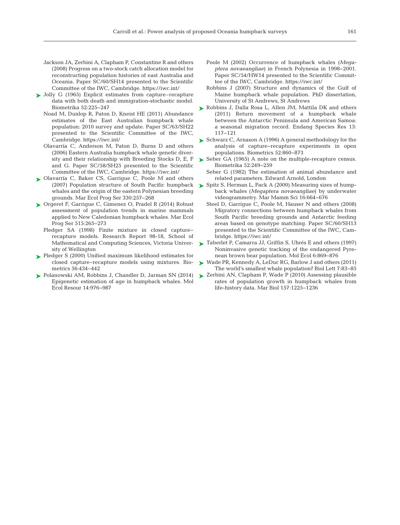- Jackson JA, Zerbini A, Clapham P, Constantine R and others (2008) Progress on a two-stock catch allocation model for reconstructing population histories of east Australia and Oceania. Paper SC/60/SH14 presented to the Scientific Committee of the IWC, Cambridge. https://iwc.int/
- ► [Jolly G \(1965\) Explicit estimates from capture–recapture](http://dx.doi.org/10.1093/biomet/52.1-2.225) data with both death and immigration-stochastic model. Biometrika 52:225−247
	- Noad M, Dunlop R, Paton D, Kneist HE (2011) Abundance estimates of the East Australian humpback whale population:2010 survey and update. Paper SC/63/SH22 presented to the Scientific Committee of the IWC, Cambridge. https://iwc.int/
	- Olavarría C, Anderson M, Paton D, Burns D and others (2006) Eastern Australia humpback whale genetic diversity and their relationship with Breeding Stocks D, E, F and G. Paper SC/58/SH25 presented to the Scientific Committee of the IWC, Cambridge. https://iwc.int/
- ▶ [Olavarría C, Baker CS, Garrigue C, Poole M and others](http://dx.doi.org/10.3354/meps330257) (2007) Population structure of South Pacific humpback whales and the origin of the eastern Polynesian breeding grounds. Mar Ecol Prog Ser 330: 257−268
- ► [Orgeret F, Garrigue C, Gimenez O, Pradel R \(2014\) Robust](http://dx.doi.org/10.3354/meps10992) assessment of population trends in marine mammals applied to New Caledonian humpback whales. Mar Ecol Prog Ser 515:265-273
	- Pledger SA (1998) Finite mixture in closed capture− recapture models. Research Report 98-18, School of Mathematical and Computing Sciences, Victoria University of Wellington
- ▶ [Pledger S \(2000\) Unified maximum likelihood estimates for](http://dx.doi.org/10.1111/j.0006-341X.2000.00434.x) closed capture−recapture models using mixtures. Biometrics 56: 434−442
- [Polanowski AM, Robbins J, Chandler D, Jarman SN \(2014\)](http://www.ncbi.nlm.nih.gov/entrez/query.fcgi?cmd=Retrieve&db=PubMed&list_uids=24606053&dopt=Abstract) ➤ Epigenetic estimation of age in humpback whales. Mol Ecol Resour 14: 976−987
- Poole M (2002) Occurrence of humpback whales (*Mega ptera novaeangliae*) in French Polynesia in 1998−2001. Paper SC/54/HW14 presented to the Scientific Committee of the IWC, Cambridge. https://iwc.int/
- Robbins J (2007) Structure and dynamics of the Gulf of Maine humpback whale population. PhD dissertation, University of St Andrews, St Andrews
- ▶ [Robbins J, Dalla Rosa L, Allen JM, Mattila DK and others](http://dx.doi.org/10.3354/esr00328) (2011) Return movement of a humpback whale between the Antarctic Peninsula and American Samoa: a seasonal migration record. Endang Species Res 13: 117−121
- ► [Schwarz C, Arnason A \(1996\) A general methodology for the](http://dx.doi.org/10.2307/2533048) analysis of capture−recapture experiments in open populations. Biometrics 52: 860−873
- ► [Seber GA \(1965\) A note on the multiple-recapture census.](http://dx.doi.org/10.1093/biomet/52.1-2.249) Biometrika 52:249-259
	- Seber G (1982) The estimation of animal abundance and related parameters. Edward Arnold, London
- ► [Spitz S, Herman L, Pack A \(2000\) Measuring sizes of hump](http://dx.doi.org/10.1111/j.1748-7692.2000.tb00962.x)back whales (*Megaptera novaeangliae*) by underwater videogrammetry. Mar Mamm Sci 16: 664−676
	- Steel D, Garrigue C, Poole M, Hauser N and others (2008) Migratory connections between humpback whales from South Pacific breeding grounds and Antarctic feeding areas based on genotype matching. Paper SC/60/SH13 presented to the Scientific Committee of the IWC, Cambridge. https://iwc.int/
- ► [Taberlet P, Camarra JJ, Griffin S, Uhrés E and others \(1997\)](http://dx.doi.org/10.1111/j.1365-294X.1997.tb00141.x) Noninvasive genetic tracking of the endangered Pyrenean brown bear population. Mol Ecol 6: 869−876
- ► [Wade PR, Kennedy A, LeDuc RG, Barlow J and others \(2011\)](http://dx.doi.org/10.1098/rsbl.2010.0477) The world's smallest whale population? Biol Lett 7:83-85
- ► [Zerbini AN, Clapham P, Wade P \(2010\) Assessing plausible](http://dx.doi.org/10.1007/s00227-010-1403-y) rates of population growth in humpback whales from life-history data. Mar Biol 157: 1225−1236